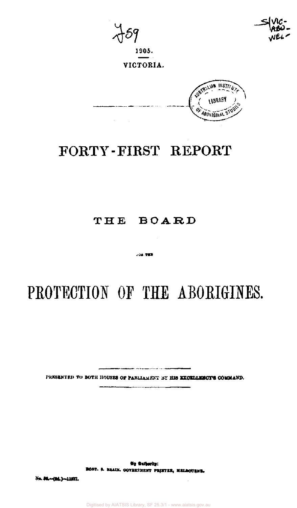**1905.** 

 $\mathcal{A}=\mathcal{A}$ 

**VICTORIA.** 



## FORTY-FIRST REPORT

### **THE BOARD**

 $-0.2 - 700$ 

# **PROTECTION OF THE ABORIGINES.**

PRESENTED TO BOTH HOUSES 0F PARLIAMENT BY **HI8 EXCELLENCY'S** COMMAND

ری<br>مورد است است می باشد.

No Subscite: ROBT. & BRAIN. GOVERNMENT PRINTER, MELBOURNE.

No. 58 - [9d.] - 11377.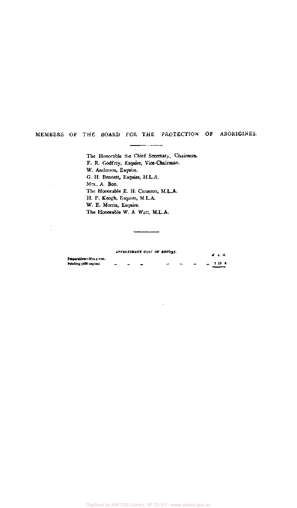#### MEMBERS OF THE BOARD FOR THE PROTECTION OF ABORIGINES.

The Honorable the Chief Secretary, Chairman. F. R. Godfrey, Esquire, Vice-Chairman. W. Anderson, Esquire. G. H. Bennett, Esquire, M.L.A-Mrs.. A. Bon. The Honorable E. H. Cameron, M.L.A. H. P. Keogh, Esquire, M.L.A. W. E. Morris, Esquire. The Honorable W. A. Watt, M.L.A.

#### **APPROXIMATE COST OF REPORT.**

|                             |  | AFFROAIMATE COST OF KEEPEL. |  |  | 4 s. d.    |
|-----------------------------|--|-----------------------------|--|--|------------|
| Preparation-Not given.      |  |                             |  |  |            |
| <b>FrinUng</b> (400 copics) |  |                             |  |  | $-710$ $+$ |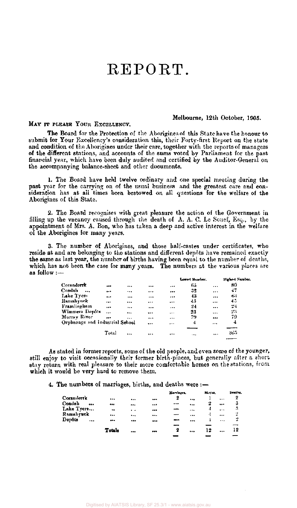### REPORT.

#### Melbourne, 12th October, 1905.

#### MAY IT PLEASE YOUR EXCELLENCY.

The Board for the Protection of the Aborigines of this State have the honour to submit for Your Excellency's consideration this, their Forty-first Report on the state and condition of the Aborigines under their care, together with the reports of managers of the different stations, and accounts of the sums voted by Parliament for the past financial year, which have been duly audited and certified by the Auditor-General on the accompanying balance-sheet and other documents.

1. The Board have held twelve ordinary and one special meeting during the past year for the carrying on of the usual business and the greatest care and consideration has at all times been bestowed on all questions for the welfare of the Aborigines of this State.

2. The Board recognises with great pleasure the action of the Government in filling up the vacancy caused through the death of A. A. C. Le Souef, Esq., by the appointment of Mrs. A. Bon, who has taken a deep and active interest in the welfare of the Aborigines for many years.

3. The number of Aborigines, and those half-castes under certificates, who reside at and are belonging to the stations and different depots have remained exactly the same as last year, the number of births having been equal to the number of deaths, which has not been the case for many years. The numbers at the various places are as follow :—

|                         |          |                                 |           |    |          | Highest Number. |
|-------------------------|----------|---------------------------------|-----------|----|----------|-----------------|
|                         |          |                                 |           | 65 | $\cdots$ | 80              |
| $\bullet\bullet\bullet$ |          |                                 |           | 32 | $\cdots$ | 47              |
| $\cdots$                |          |                                 |           | 43 | $\cdots$ | 0.5             |
|                         |          |                                 | $\cdots$  | 45 |          | 45              |
|                         | $\cdots$ |                                 |           | 24 | $\cdots$ | 24              |
|                         |          |                                 |           | 23 | $\cdots$ | 23              |
|                         | $\cdots$ |                                 | $\ddotsc$ | 79 |          | 79              |
|                         |          |                                 | $\cdots$  | 4  | $\cdots$ | 4               |
|                         |          |                                 |           |    |          |                 |
| Total                   | $\cdots$ |                                 | $\cdots$  | .  | $\cdots$ | 365             |
|                         |          | Orphanage and Industrial School |           |    |          | Lowert Number.  |

As stated in former reports, some of the old people, and even some of the younger, still enjoy to visit occasionally their former birth-places, but generally after a short stay return with real pleasure to their more comfortable homes on the stations, from which it would be very hard to remove them.

#### 4. The numbers of marriages, births, and deaths were :—

|            |                         |           |             |          | Marriagea. |          | Hirths, |           | latathe. |
|------------|-------------------------|-----------|-------------|----------|------------|----------|---------|-----------|----------|
| Coranderrk |                         |           | <b>A.L.</b> |          | 2          | 5.06     |         | $\ddotsc$ | 2        |
| Condah     | $\bullet\bullet\bullet$ |           |             |          |            |          | 2       | $\cdots$  | 3        |
| Lake Tyers |                         | $\bullet$ | $\sim$      |          |            | $\cdots$ |         | $\cdots$  | 3        |
| Ramahyuck  |                         |           |             | $\cdots$ |            | $\cdots$ | 4       | $\ddotsc$ | 2        |
| Depôts     | $\cdots$                | $***$     |             |          |            | $\cdots$ |         | $\cdots$  | -2       |
|            |                         |           |             |          |            |          |         |           |          |
|            |                         | Totals    |             | $\cdots$ | 2          | $\cdots$ | 12      |           | 12       |
|            |                         |           |             |          |            |          |         |           |          |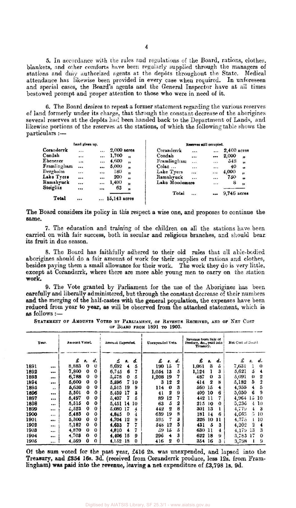5. In accordance with the rules and regulations of the Board, rations, clothes, blankets, and other comforts have been regularly supplied through the managers of stations and duiy authorized agents at the depots throughout the State. Medical attendance has likewise been provided in every case when required. In unforeseen and special cases, the Board's agents and the General Inspector have at ail times bestowed prompt and proper attention to those who were in need of it.

6. The Board desires to repeat a former statement regarding the various reserves of land formerly under its charge, that through the constant decrease of the aborigines several reserves at the depôts had been handed back to the Department of Lands, and likewise portions of the reserves at the stations, of which the following table shows the particulars :—

|             | Land given up. |          |              |              |                |                     | Reserves still occupied. |             |                     |
|-------------|----------------|----------|--------------|--------------|----------------|---------------------|--------------------------|-------------|---------------------|
| Coranderrk  | 1.7.7          |          | 2,000 acres  |              | Coranderrk     |                     |                          | 2,400 acres |                     |
| Condah      | $\cdots$       |          | 1,700        | ,,           | Condah         |                     | $\bullet\bullet\bullet$  | 2,000       | $\boldsymbol{v}$    |
| Ebenezer    | $\cdot$        |          | 4,600        | $^{\bullet}$ | Framlingham    | $\cdot \cdot \cdot$ |                          | 54S         | ,                   |
| Framlingham |                |          | 5,000        | "            | Colac          | $\cdots$            |                          | 40          | $\bullet$           |
| Dergholm    | $\cdots$       |          | 180          | "            | Lake Tyers     | $\cdots$            |                          | 4,000       | ,,                  |
| Lake Tyers  | $\cdots$       | 1.7.7    | 200          | ,,           | Ramahvuck      |                     |                          | 750         | $^{\bullet\bullet}$ |
| Ramahyuck   | $\cdots$       | $\cdots$ | 1,400        | 'n           | Lako Moodemere |                     | $\dddotsc$               | 8           | 'n                  |
| Steiglitz   |                |          | 63           | n            |                |                     |                          |             |                     |
|             |                |          |              |              | Total          | $\cdots$            |                          | 9,746 acres |                     |
| Total       | $\cdots$       |          | 15,143 acres |              |                |                     |                          |             |                     |

The Board considers its policy in this respect a wise one, and proposes to continue the same.

7. The education and training of the children on all the stations have been carried on with fair success, both in secular and religious branches, and should bear, **its** fruit in due season.

8. The Board has faithfully adhered to their old rules that all able-bodied aborigines should do a fair amount of work for their supplies of rations and clothes, besides paying them a small allowance for their work. The work they do is very little, except at Coranderrk, where there are more able young men to carry on the station **work.** 

**9.** The Vote granted by Parliament for the use of the Aborigines has been carefully and liberally administered, but through the constant decrease of their numbers **and** the merging of the half-castes with the general population, the expenses have been reduced from year **to** year, as will be observed from the attached statement, which is as follows:—

STATEMENT OF AMOUNTS VOTED BY PARLIAMENT, OF REVENUE RECEIVED, AND OF NET COST **OF BOARD FROM 1891 TO 1903.** 

| Year. |          | Amount Voted. |             |             | Amount Expended. |    |          | Unexpended Vote. |                  |    | Revenue from Salc of<br>Produce, &c., paid into<br>Treasury. |              |                     | Net Cost of Board |              |          |
|-------|----------|---------------|-------------|-------------|------------------|----|----------|------------------|------------------|----|--------------------------------------------------------------|--------------|---------------------|-------------------|--------------|----------|
|       |          | £             | 8.          | d.          | £                | 8. | d.       | £                | 8.               | d. | £                                                            | 8.           | d.                  | £                 | 8.           | d.       |
| 1891  | $\cdots$ | 8,883         | $\bf{0}$    | $\bf{0}$    | 8,692            | 4  | 5        | 190              | 15               |    | 1,061                                                        | 3            | $\ddot{\mathbf{a}}$ | 7,631             |              | $\Omega$ |
| 1892  |          | 7,800         | $\bf{0}$    | $\bf{0}$    | 6,745            | 6  |          | 1,054            | 13               | 5  | 1,124                                                        |              | 3                   | 5,621             | 5            |          |
| 1893  |          | 6,788         | 0           | 0           | 5,578            | 0  | 5        | 1,208            | 19               |    | 487                                                          | $\bf{0}$     | 3                   | 5,091             | $\mathbf{v}$ | 2        |
| 1894  |          | 5,600         | 0           | 0           | 5,596            | 7  | 10       | 3                | 12               | 2  | 414                                                          | $\mathbf{2}$ | 8                   | 5,182             | 5            | 2        |
| 1895  | . 1.9    | 5,630         | $\mathbf o$ | $\bf{0}$    | 5,515            | 19 | 9        | 114              | $\bf{0}$         | 3  | 560                                                          | 15           | 4                   | 4,955             |              | 5        |
| 1896  | $\cdots$ | 5,501         | $\mathbf o$ | $\bf{0}$    | 5,459            | 17 | 3        | 41               | 2                | 9  | 409                                                          | 10           | 6                   | 5,050             |              | 9        |
| 1897  | $\cdots$ | 5,497         | $\bf{0}$    | $\bf{o}$    | 5,407            |    | 5        | 89               | 12               |    | 442                                                          | 11           |                     | 4,964             | 15           | 10       |
| 1898  |          | 5.515         | $\mathbf o$ | $\bf{0}$    | 5,451            | 14 | 10       | 63               | 5                | 2  | 215                                                          | -10          | $\bf{0}$            | 5,236             | 4            | 10       |
| 1899  | $\cdots$ | 5.523         | $\bf{0}$    | $\Omega$    | 5,080            | 17 | 4        | 442              | $\boldsymbol{2}$ | 8  | 301                                                          | 13           |                     | 4.773             | 4            | 3        |
| 1900  |          | 5,483         | $\mathbf o$ | $\bf{0}$    | 4.845            | 0  | 4        | 639              | 19               | 8  | 181                                                          | 14           | 6                   | 4,66.3            | 5            | 10       |
| 1901  |          | 5,300         | $\bf{0}$    | 0           | 4.704            | 12 | 9        | 595              | 7                | 3  | 326                                                          | 10           | 11                  | 4,375             |              | 10       |
| 1902  |          | 5,182         | $\bf{0}$    | 0           | 4,633            |    |          | 548              | 12               | 5  | 431                                                          | 5            | 3                   | 4,202             | 2            | 4        |
| 1903  | --<br>   | 4,870         | $\Omega$    | $\bf{0}$    | 4,810            |    |          | 59               | 15               | 5  | 630                                                          | 11           | 4                   | 4.179             | 13           | 3        |
| 1904  |          | 4,708         | $\Omega$    | $\mathbf o$ | 4,406            | 15 | 9        | 296              |                  | 3  | 622                                                          | 18           | 9                   | 3,783             | 17           | $\bf{o}$ |
| 1905  | $\cdots$ | 4.569         | $\bf{0}$    | $\mathbf o$ | 4.152            | 18 | $\bf{0}$ | 416              | 2                | 0  | 354                                                          | 16           | 3                   | 3,798             |              | 9        |

Of the **sum** voted for the past year, £416 2s. was unexpended, and lapsed into the **Treasury, and £854 16s. 3d.** (received **from Coranderrk** produce, less 12s. from **Framlingham) was paid into the revenue, leaving a net expenditure** of **£3,798 ls. 9d.**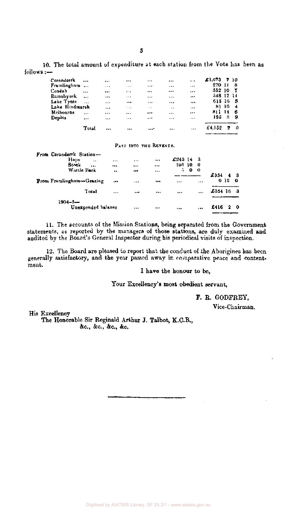10. The total amount of expenditure at each station from the Vote has been as follows:—

| Coranderrk     | $\cdots$  |          |          |                         |           | $\cdots$ | £1,073    |    | 710 |  |
|----------------|-----------|----------|----------|-------------------------|-----------|----------|-----------|----|-----|--|
| Framlingham    |           | $\cdots$ | $- + +$  |                         |           |          | 270       | 11 | 8   |  |
| Condah         | $\cdots$  |          |          |                         |           |          | 552 10    |    | - 7 |  |
| Ramahyuck      | $\ddotsc$ | $\cdots$ |          |                         |           |          | 548 17 11 |    |     |  |
| Lake Tyers     | $\ddotsc$ |          |          |                         |           |          | 615 16 5  |    |     |  |
| Lake Hindmarsh |           | $\cdots$ | $\cdots$ | $-$                     | $\ddotsc$ |          | 81 10     |    | -4  |  |
| Melbourne      | $\ddotsc$ |          |          | $\bullet\bullet\bullet$ | $\cdots$  | $\cdots$ | 811       | 14 | - 6 |  |
| Depòts         | $\cdots$  | $\cdots$ |          |                         | $\cdots$  | $\cdots$ | 195       | 8. | -9  |  |
|                | Total     |          | $\cdots$ | $\cdots$                | $\cdots$  | $\cdots$ | £4.152    | 2  | -0  |  |

#### PAID INTO THE REVENUE.

| From Coranderrk Station-           |           |              |            |     |         |                 |            |
|------------------------------------|-----------|--------------|------------|-----|---------|-----------------|------------|
| Hops<br>$\lambda$ $\lambda$        |           | <br>         | £24314     | - 3 |         |                 |            |
| Stock                              |           | <br>         | $105-10$ . | - 0 |         |                 |            |
| Wattle Bark                        | $\bullet$ | <br>         | Б.,<br>0   | - 0 |         |                 |            |
|                                    |           |              |            |     | £354    |                 | $4\quad 3$ |
| From Framlingham-Grazing           | $\bullet$ | <br>         |            |     |         | 0 <sub>12</sub> | Ω          |
| Total                              |           | <br>$\cdots$ |            |     | £354 16 |                 | -3         |
| $1904 - 5 -$<br>Unexpended balance |           | <br>         |            |     | £416    | 9               | -0         |

11. The accounts of the Mission Stations, being separated from the Government statements, as reported by the managers of those stations, are duly examined and audited by the Board's General Inspector during his periodical visits of inspection.

12. The Board are pleased to report that the conduct of the Aborigines has been generally satisfactory, and the year passed away in comparative peace and contentment.

I have the honour to be,

Your Excellency's most obedient servant,

F. R. GODFREY,

Vice-Chairman.

His Excellency

The Honorable Sir Reginald Arthur J. Talbot, K.C.B., &c, &c, &c, &c.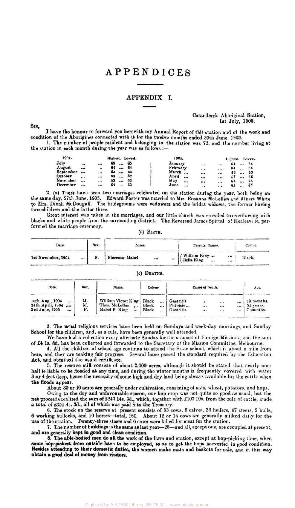### APPENDICES

#### APPENDIX I.

SIR,

Coranderrk Aboriginal Station, 1st July, 1905.

I have the honour to forward you herewith my Annual Report of this station and of the work and condition of the Aborigines connected with it for the twelve months ended 30th June, 1905.

1. The number of people resident and belonging to the station was 73, and the number living at the station in each month during the year was as follows :—

| 1904.     |                    |          | Highest. Lowest. |          |    | 1905.    |                       |    | Highest. |        | Lowest. |
|-----------|--------------------|----------|------------------|----------|----|----------|-----------------------|----|----------|--------|---------|
| July      | $\bullet\,\bullet$ |          | 65               |          | 65 | January  |                       |    | 64       |        | 64      |
| A ugust   | $\cdots$           |          | 64               |          | 64 | February |                       | $$ | 64       |        | 64      |
| September | $\cdots$           |          | 63               | .        | 63 | March    |                       |    | 66       |        | 65      |
| October   |                    |          | 63               |          | 62 | April    | <br>                  |    |          | $-0.6$ | 66      |
| November  |                    | $\cdots$ | 63               | $\cdots$ | 62 | May      | <br>                  |    | 65       |        | 65      |
| December  | $\cdots$           | $\cdots$ | 64               | $\cdots$ | 63 | June     | <br>$\dddot{\bullet}$ |    | 65       |        | 65      |

2. (a) There have been two marriages celebrated on the station during the year, both being on the same day, 27th June, 1905. Edward Foster was married to Mrs. Rosanna McLellan and Albert White to Mrs. Dinah McDougall. The bridegrooms were widowers and the brides widows, the former having two children and the latter three.

Great interest was taken in the marriages, and our little church was crowded to overflowing with blacks and white people from the surrounding district. The Reverend James Spittal of Healesville. performed the marriage ceremony. (b) BIRTH.

| Date.                  | Sex.         | Name.                    | Parents' Names.                            | Colour. |
|------------------------|--------------|--------------------------|--------------------------------------------|---------|
| 1st November, 1904<br> | $\mathbf{v}$ | Florence Mabel<br>$$<br> | (William King)<br>  Bella King<br><br><br> | Black.  |

#### (c) DEATHS.

| Date.                                                                 | Sex.           | Name.                                                                  | Colour.                                         |                                    | Cause of Death. |                  |            | $A \subset c$ .                      |
|-----------------------------------------------------------------------|----------------|------------------------------------------------------------------------|-------------------------------------------------|------------------------------------|-----------------|------------------|------------|--------------------------------------|
| 10th Aug., 1904<br>$\cdots$<br>24th April, 1904<br>3rd June, 1905<br> | м.<br>M.<br>F. | William Victor King<br>Thos. McLellan<br>$\cdots$<br>Mabel F. King<br> | Black<br>Black<br>$\cdots$<br>Black<br>$\cdots$ | Gastritis<br>Phthisis<br>Gastritis | <br><br>        | <br><br>$\cdots$ | $$<br><br> | 10 months.<br>52 years.<br>7 months. |

3. The usual religious services have been held on Sundays and week-day mornings, and Sunday School for the children, and, as a rule, have been generally well attended.

We have had a collection every alternate Sunday for the support of Foreign Missions, and the sum of £4 Is. 8d. has been collected and forwarded to the Secretary of the Mission Committee. Melbourne.

4. All the children of school age continue to attend the State school, which is aboul a mile from here, and they arc making fair progress. Several have passed the standard required by the Education Act, and obtained the usual certificate.

5. The reserve still consists of about 2,000 acres, although it should be stated that nearly onehalf is liable to be flooded at any time, and during the winter months is frequently covered with water 3 or 4 feet deep, hence the necessity of some high and dry land being always available for the cattle when the floods appear.

About 30 or 40 acres are generally under cultivation, consisting of oats, wheat, potatoes, and hops.

Owing to the dry and unfavourable season, our hop crop was not quite so good as usual, but the net proceeds realized the sum of £243 14s. 3d., which, together with £107 10s. from the sale of cattle, made a total of £351 4s. 3d., all of which was paid into the Treasury.

6. The stock on the reserve at present consists of 53 cows, 6 calves, 36 heifers, 47 steets, 2 bulls, 6 working bullocks, and 10 horses—total, 160. About 12 or 14 cows arc generally milked daily for the use of the station. Twenty-three steers and 6 cows were killed for meat for the station.

7. The number of buildings is the same as last year—25—and all, except one, are occupied at present, and are generally kept in good and clean condition.

8. The able-bodied men do all the work of the farm and station, except at hop-picking time, when so**me hop-pickers from** outside have to **be** employed, so as to get the hops harvested in good condition. **Besides** attending to their domestic duties, the women make mats and baskets for sale, and in this way **obtain a** good **deal** of **money from visitors.**